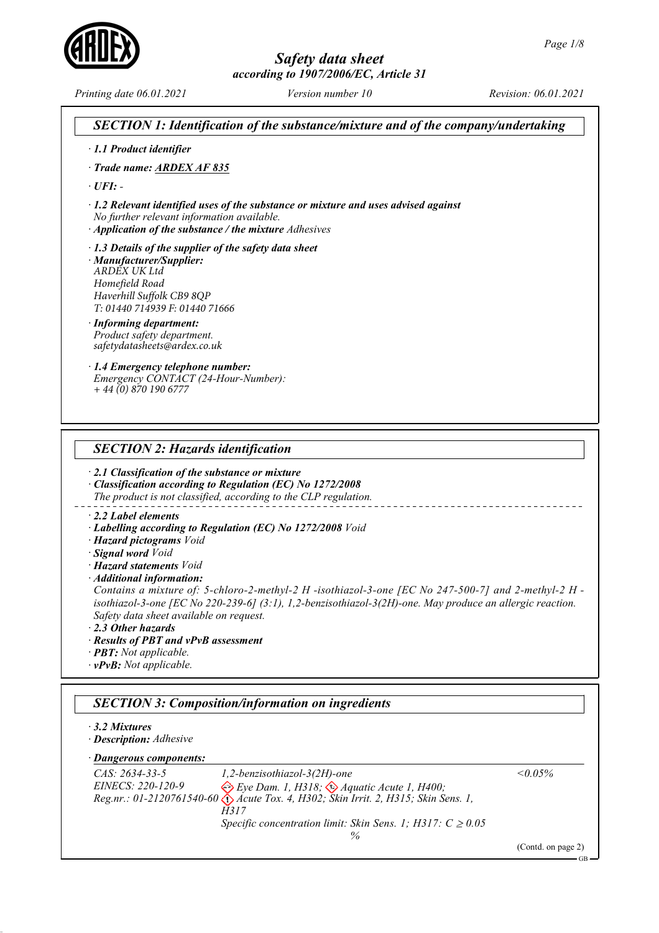

Printing date 06.01.2021 Version number 10 Revision: 06.01.2021

# SECTION 1: Identification of the substance/mixture and of the company/undertaking · 1.1 Product identifier · Trade name: ARDEX AF 835  $\cdot$  UFI: -· 1.2 Relevant identified uses of the substance or mixture and uses advised against No further relevant information available. · Application of the substance / the mixture Adhesives · 1.3 Details of the supplier of the safety data sheet · Manufacturer/Supplier: *ARDEX UK Ltd Homefield Road Haverhill Suffolk CB9 8QP T: 01440 714939 F: 01440 71666* · Informing department: Product safety department. *safetydatasheets@ardex.co.uk* · 1.4 Emergency telephone number: Emergency CONTACT (24-Hour-Number): *+ 44 (0) 870 190 6777* SECTION 2: Hazards identification · 2.1 Classification of the substance or mixture · Classification according to Regulation (EC) No 1272/2008 The product is not classified, according to the CLP regulation. · 2.2 Label elements · Labelling according to Regulation (EC) No 1272/2008 Void · Hazard pictograms Void · Signal word Void · Hazard statements Void · Additional information: Contains a mixture of: 5-chloro-2-methyl-2 H -isothiazol-3-one [EC No 247-500-7] and 2-methyl-2 H isothiazol-3-one [EC No 220-239-6] (3:1), 1,2-benzisothiazol-3(2H)-one. May produce an allergic reaction. Safety data sheet available on request. · 2.3 Other hazards · Results of PBT and vPvB assessment · PBT: Not applicable. · vPvB: Not applicable. SECTION 3: Composition/information on ingredients · 3.2 Mixtures · Description: Adhesive Dangerous components: · CAS: 2634-33-5 EINECS: 220-120-9 Reg.nr.: 01-2120761540-60 1,2-benzisothiazol-3(2H)-one Eye Dam. 1, H318;  $\leftrightarrow$  Aquatic Acute 1, H400; Acute Tox. 4, H302; Skin Irrit. 2, H315; Skin Sens. 1, H<sub>317</sub> Specific concentration limit: Skin Sens. 1; H317:  $C \ge 0.05$ %  $< 0.05\%$ (Contd. on page 2) GB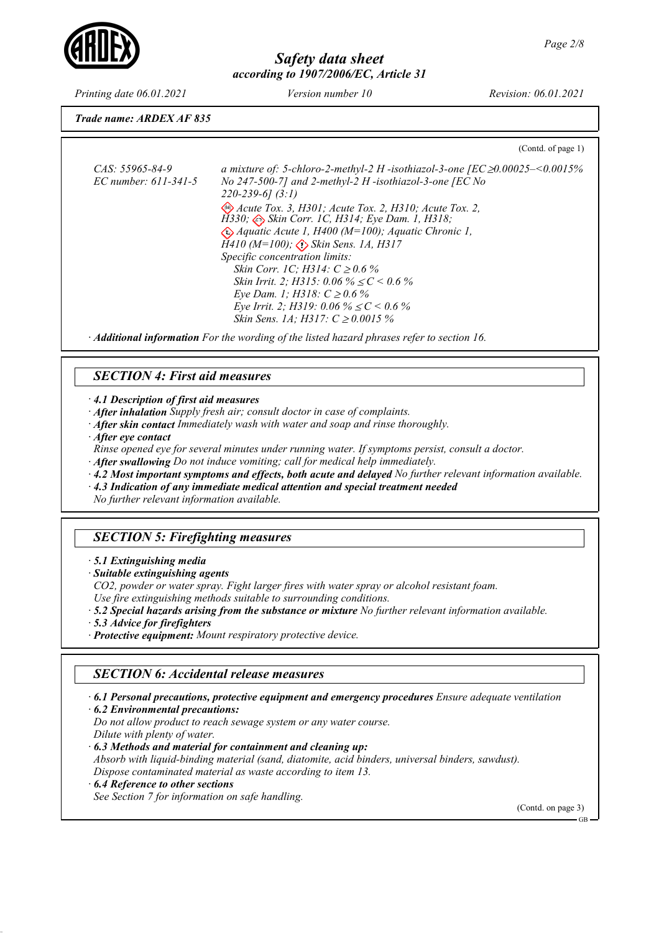Printing date 06.01.2021 Version number 10 Revision: 06.01.2021

(Contd. of page 1)

Trade name: ARDEX AF 835

CAS: 55965-84-9 EC number: 611-341-5 a mixture of: 5-chloro-2-methyl-2 H -isothiazol-3-one [EC ≥0.00025–<0.0015% No 247-500-7] and 2-methyl-2 H -isothiazol-3-one [EC No 220-239-6] (3:1) Acute Tox. 3, H301; Acute Tox. 2, H310; Acute Tox. 2,  $\tilde{H}$ 330;  $\Leftrightarrow$  Skin Corr. 1C, H314; Eye Dam. 1, H318; Aquatic Acute 1, H400 (M=100); Aquatic Chronic 1,  $\hat{H}410 \ (M=100)$ ;  $\langle \cdot \rangle$  Skin Sens. 1A, H317 Specific concentration limits: Skin Corr. 1C; H314:  $C \ge 0.6 \%$ Skin Irrit. 2; H315: 0.06 %  $\leq C$  < 0.6 % Eye Dam. 1; H318:  $C \ge 0.6 \%$ Eye Irrit. 2; H319: 0.06 %  $\leq C$  < 0.6 % Skin Sens. 1A; H317:  $C \ge 0.0015 \%$ 

· Additional information For the wording of the listed hazard phrases refer to section 16.

# SECTION 4: First aid measures

· 4.1 Description of first aid measures

- · After inhalation Supply fresh air; consult doctor in case of complaints.
- · After skin contact Immediately wash with water and soap and rinse thoroughly.
- · After eye contact

Rinse opened eye for several minutes under running water. If symptoms persist, consult a doctor.

- · After swallowing Do not induce vomiting; call for medical help immediately.
- · 4.2 Most important symptoms and effects, both acute and delayed No further relevant information available.
- · 4.3 Indication of any immediate medical attention and special treatment needed

No further relevant information available.

# SECTION 5: Firefighting measures

· 5.1 Extinguishing media

· Suitable extinguishing agents

CO2, powder or water spray. Fight larger fires with water spray or alcohol resistant foam.

- Use fire extinguishing methods suitable to surrounding conditions.
- $\cdot$  5.2 Special hazards arising from the substance or mixture No further relevant information available.
- · 5.3 Advice for firefighters
- · Protective equipment: Mount respiratory protective device.

#### SECTION 6: Accidental release measures

· 6.1 Personal precautions, protective equipment and emergency procedures Ensure adequate ventilation

· 6.2 Environmental precautions:

Do not allow product to reach sewage system or any water course. Dilute with plenty of water. · 6.3 Methods and material for containment and cleaning up:

- Absorb with liquid-binding material (sand, diatomite, acid binders, universal binders, sawdust). Dispose contaminated material as waste according to item 13.
- · 6.4 Reference to other sections

See Section 7 for information on safe handling.

(Contd. on page 3)

GB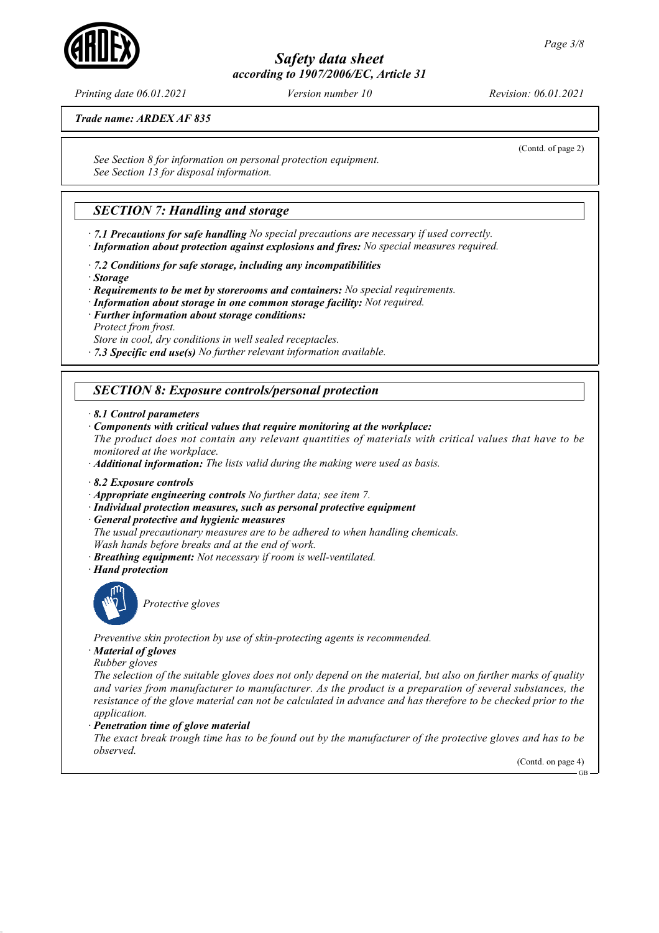Printing date 06.01.2021 Version number 10 Revision: 06.01.2021

Trade name: ARDEX AF 835

See Section 8 for information on personal protection equipment. See Section 13 for disposal information.

# **SECTION 7: Handling and storage**

· 7.1 Precautions for safe handling No special precautions are necessary if used correctly. · Information about protection against explosions and fires: No special measures required.

· 7.2 Conditions for safe storage, including any incompatibilities

· Storage

· Requirements to be met by storerooms and containers: No special requirements.

- · Information about storage in one common storage facility: Not required.
- · Further information about storage conditions: Protect from frost.

Store in cool, dry conditions in well sealed receptacles.

 $\cdot$  7.3 Specific end use(s) No further relevant information available.

#### SECTION 8: Exposure controls/personal protection

- · 8.1 Control parameters
- · Components with critical values that require monitoring at the workplace:

The product does not contain any relevant quantities of materials with critical values that have to be monitored at the workplace.

· Additional information: The lists valid during the making were used as basis.

- · 8.2 Exposure controls
- · Appropriate engineering controls No further data; see item 7.
- · Individual protection measures, such as personal protective equipment
- · General protective and hygienic measures

The usual precautionary measures are to be adhered to when handling chemicals. Wash hands before breaks and at the end of work.

- · Breathing equipment: Not necessary if room is well-ventilated.
- · Hand protection



Protective gloves

Preventive skin protection by use of skin-protecting agents is recommended.

· Material of gloves

Rubber gloves

The selection of the suitable gloves does not only depend on the material, but also on further marks of quality and varies from manufacturer to manufacturer. As the product is a preparation of several substances, the resistance of the glove material can not be calculated in advance and has therefore to be checked prior to the application.

Penetration time of glove material

The exact break trough time has to be found out by the manufacturer of the protective gloves and has to be observed.

(Contd. on page 4)

GB



(Contd. of page 2)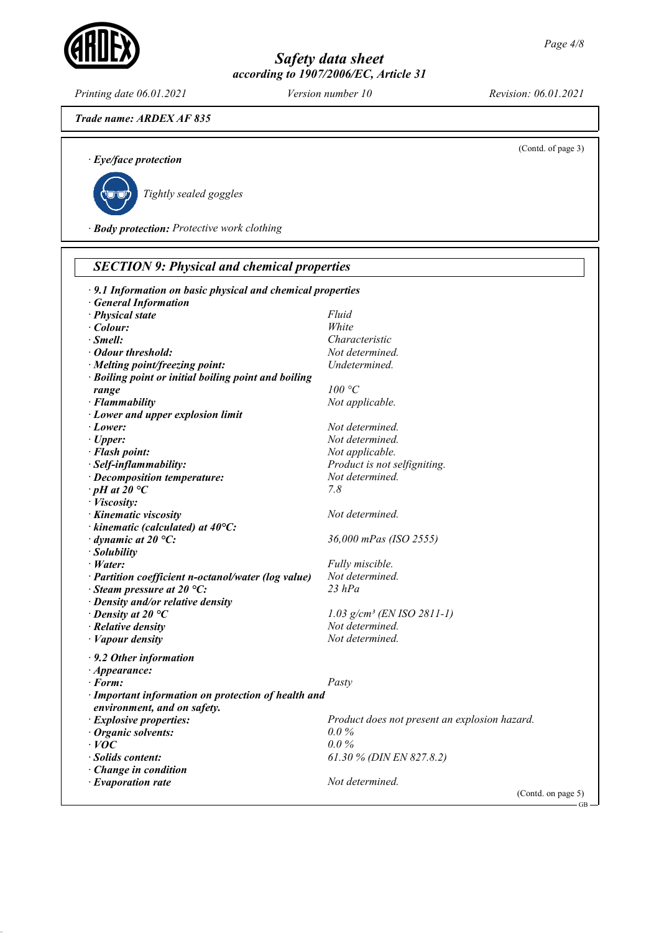Printing date 06.01.2021 Version number 10 Revision: 06.01.2021

Trade name: ARDEX AF 835

(Contd. of page 3)

· Eye/face protection



Tightly sealed goggles

· Body protection: Protective work clothing

#### SECTION 9: Physical and chemical properties · 9.1 Information on basic physical and chemical properties · General Information **Physical state** Fluid<br> **Colour:** Fluid Colour  $\cdot$  Colour: · Smell: Characteristic · Odour threshold: Not determined. · Melting point/freezing point: Undetermined. · Boiling point or initial boiling point and boiling **range**  $100 °C$  $\cdot$  **Flammability**  $\cdot$  **Not** applicable. · Lower and upper explosion limit · Lower: Not determined. · **Upper:** Not determined. · Flash point:  $Not\ applicable.$ · Self-inflammability:  $\blacksquare$ · Decomposition temperature: Not determined.  $\cdot$  pH at 20 °C 7.8 · Viscosity: · Kinematic viscosity and the Mot determined.  $\cdot$  kinematic (calculated) at 40 $\rm ^{o}C$ :  $\cdot$  dynamic at 20 °C:  $36,000$  mPas (ISO 2555) · Solubility • Water: Fully miscible.<br>• Partition coefficient n-octanol/water (log value) Not determined. • Partition coefficient n-octanol/water (log value) Not determined.<br>• Steam pressure at 20 °C: 23 hPa  $\cdot$  Steam pressure at 20 °C: · Density and/or relative density  $\cdot$  Density at 20 °C 1.03 g/cm<sup>3</sup> (EN ISO 2811-1)<br> $\cdot$  Relative density • **Relative density Not determined.**<br>• **Vanour density Not determined.**  $\cdot$  *Vapour density* · 9.2 Other information · Appearance: · Form: Pasty · Important information on protection of health and environment, and on safety. • **Explosive properties:** Product does not present an explosion hazard.<br>• **Organic solvents:**  $0.0\%$  $\cdot$  Organic solvents:  $0.0\%$ <br> $\cdot$  VOC 0.0%  $\cdot$  *VOC* 0.0 % · Solids content: 61.30 % (DIN EN 827.8.2) · Change in condition  $\cdot$  Evaporation rate  $\cdot$  Evaporation rate (Contd. on page 5) GB

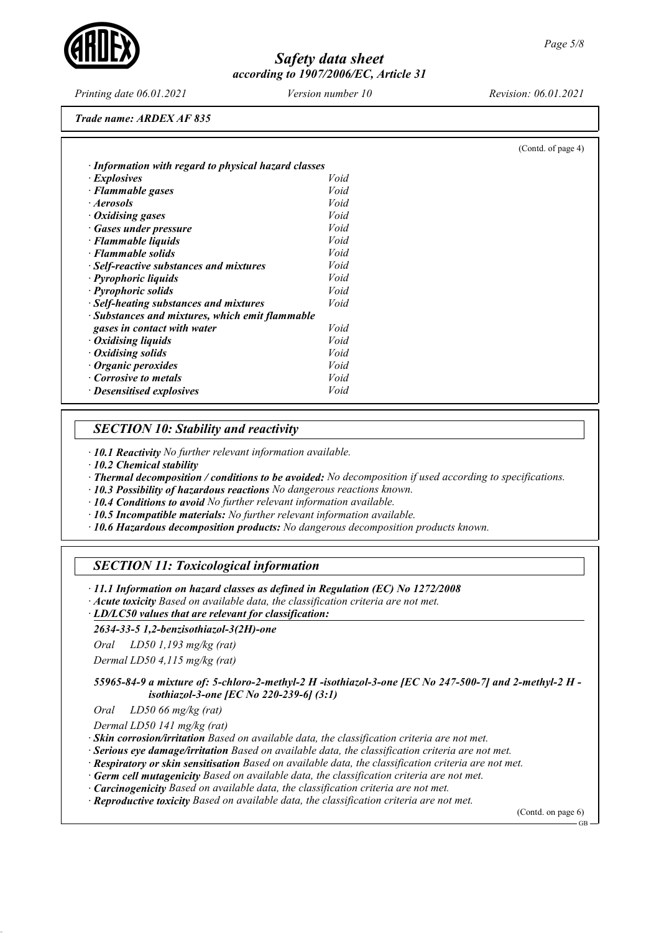Printing date 06.01.2021 Version number 10 Revision: 06.01.2021

(Contd. of page 4)

Trade name: ARDEX AF 835

| $\cdot$ Explosives                              | Void |
|-------------------------------------------------|------|
| · Flammable gases                               | Void |
| · Aerosols                                      | Void |
| $\cdot$ Oxidising gases                         | Void |
| · Gases under pressure                          | Void |
| $\cdot$ Flammable liquids                       | Void |
| $\cdot$ Flammable solids                        | Void |
| · Self-reactive substances and mixtures         | Void |
| · Pyrophoric liquids                            | Void |
| $\cdot$ Pyrophoric solids                       | Void |
| · Self-heating substances and mixtures          | Void |
| · Substances and mixtures, which emit flammable |      |
| gases in contact with water                     | Void |
| • Oxidising liquids                             | Void |
| $\cdot$ Oxidising solids                        | Void |
| $\cdot$ Organic peroxides                       | Void |
| Corrosive to metals                             | Void |
| · Desensitised explosives                       | Void |

# SECTION 10: Stability and reactivity

· 10.1 Reactivity No further relevant information available.

· 10.2 Chemical stability

· Thermal decomposition / conditions to be avoided: No decomposition if used according to specifications.

· 10.3 Possibility of hazardous reactions No dangerous reactions known.

· 10.4 Conditions to avoid No further relevant information available.

- · 10.5 Incompatible materials: No further relevant information available.
- · 10.6 Hazardous decomposition products: No dangerous decomposition products known.

# SECTION 11: Toxicological information

· 11.1 Information on hazard classes as defined in Regulation (EC) No 1272/2008

· Acute toxicity Based on available data, the classification criteria are not met.

LD/LC50 values that are relevant for classification: ·

#### 2634-33-5 1,2-benzisothiazol-3(2H)-one

Oral LD50 1,193 mg/kg (rat)

Dermal LD50 4,115 mg/kg (rat)

55965-84-9 a mixture of: 5-chloro-2-methyl-2 H -isothiazol-3-one [EC No 247-500-7] and 2-methyl-2 H isothiazol-3-one [EC No 220-239-6] (3:1)

Oral LD50 66 mg/kg (rat)

Dermal LD50 141 mg/kg (rat)

· Skin corrosion/irritation Based on available data, the classification criteria are not met.

· Serious eye damage/irritation Based on available data, the classification criteria are not met.

· Respiratory or skin sensitisation Based on available data, the classification criteria are not met.

· Germ cell mutagenicity Based on available data, the classification criteria are not met.

· Carcinogenicity Based on available data, the classification criteria are not met.

· Reproductive toxicity Based on available data, the classification criteria are not met.

(Contd. on page 6)

GB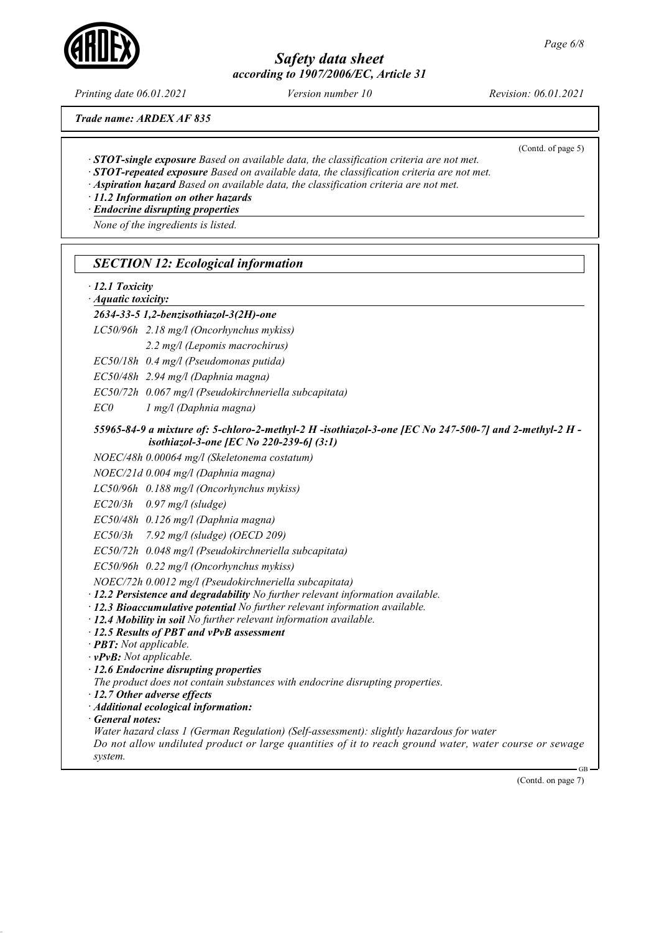Printing date 06.01.2021 Version number 10 Revision: 06.01.2021

Trade name: ARDEX AF 835

- $\cdot$  STOT-single exposure Based on available data, the classification criteria are not met.
- · STOT-repeated exposure Based on available data, the classification criteria are not met.
- · Aspiration hazard Based on available data, the classification criteria are not met.

· 11.2 Information on other hazards

· Endocrine disrupting properties None of the ingredients is listed.

| <b>SECTION 12: Ecological information</b> |  |  |  |
|-------------------------------------------|--|--|--|
|-------------------------------------------|--|--|--|

- · 12.1 Toxicity
- Aquatic toxicity: ·

#### 2634-33-5 1,2-benzisothiazol-3(2H)-one

LC50/96h 2.18 mg/l (Oncorhynchus mykiss) 2.2 mg/l (Lepomis macrochirus)

- EC50/18h 0.4 mg/l (Pseudomonas putida)
- EC50/48h 2.94 mg/l (Daphnia magna)
- EC50/72h 0.067 mg/l (Pseudokirchneriella subcapitata)

EC0 1 mg/l (Daphnia magna)

#### 55965-84-9 a mixture of: 5-chloro-2-methyl-2 H -isothiazol-3-one [EC No 247-500-7] and 2-methyl-2 H isothiazol-3-one [EC No 220-239-6] (3:1)

NOEC/48h 0.00064 mg/l (Skeletonema costatum)

NOEC/21d 0.004 mg/l (Daphnia magna)

LC50/96h 0.188 mg/l (Oncorhynchus mykiss)

 $EC20/3h$  0.97 mg/l (sludge)

EC50/48h 0.126 mg/l (Daphnia magna)

EC50/3h 7.92 mg/l (sludge) (OECD 209)

EC50/72h 0.048 mg/l (Pseudokirchneriella subcapitata)

EC50/96h 0.22 mg/l (Oncorhynchus mykiss)

NOEC/72h 0.0012 mg/l (Pseudokirchneriella subcapitata)

- · 12.2 Persistence and degradability No further relevant information available.
- · 12.3 Bioaccumulative potential No further relevant information available.
- · 12.4 Mobility in soil No further relevant information available.

· 12.5 Results of PBT and vPvB assessment

- · PBT: Not applicable.
- $\cdot$  vPvB: Not applicable.
- · 12.6 Endocrine disrupting properties
- The product does not contain substances with endocrine disrupting properties.
- · 12.7 Other adverse effects
- · Additional ecological information:

· General notes:

Water hazard class 1 (German Regulation) (Self-assessment): slightly hazardous for water

Do not allow undiluted product or large quantities of it to reach ground water, water course or sewage system.

(Contd. on page 7)

GB



(Contd. of page 5)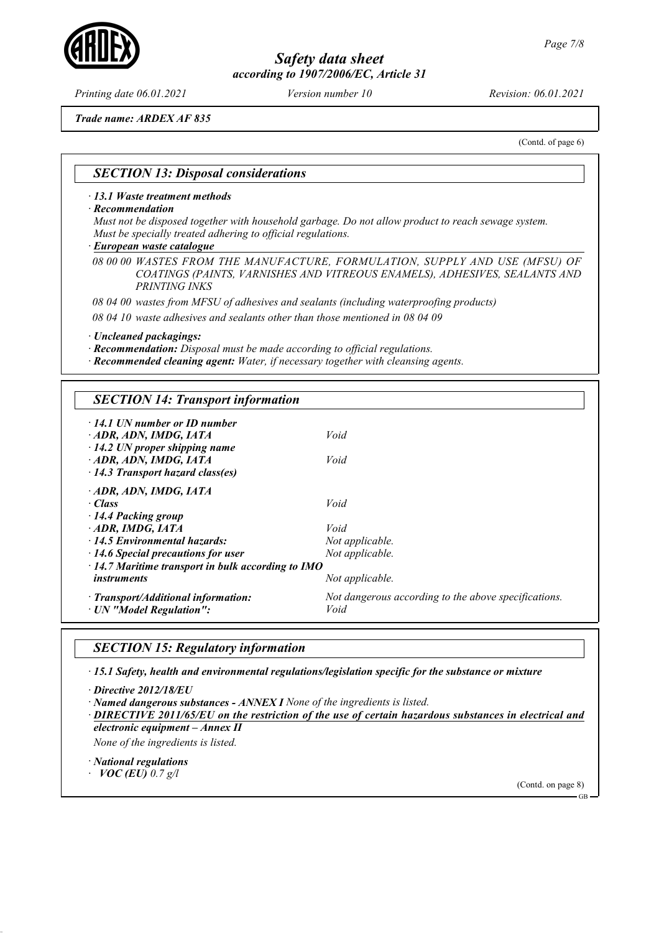Trade name: ARDEX AF 835

(Contd. of page 6)

#### SECTION 13: Disposal considerations

· 13.1 Waste treatment methods

· Recommendation

Must not be disposed together with household garbage. Do not allow product to reach sewage system. Must be specially treated adhering to official regulations.

European waste catalogue ·

08 00 00 WASTES FROM THE MANUFACTURE, FORMULATION, SUPPLY AND USE (MFSU) OF COATINGS (PAINTS, VARNISHES AND VITREOUS ENAMELS), ADHESIVES, SEALANTS AND PRINTING INKS

08 04 00 wastes from MFSU of adhesives and sealants (including waterproofing products)

08 04 10 waste adhesives and sealants other than those mentioned in 08 04 09

· Uncleaned packagings:

· Recommendation: Disposal must be made according to official regulations.

· Recommended cleaning agent: Water, if necessary together with cleansing agents.

| <b>SECTION 14: Transport information</b>                              |                                                              |
|-----------------------------------------------------------------------|--------------------------------------------------------------|
| $\cdot$ 14.1 UN number or ID number                                   |                                                              |
| · ADR, ADN, IMDG, IATA                                                | Void                                                         |
| $\cdot$ 14.2 UN proper shipping name                                  |                                                              |
| ADR, ADN, IMDG, IATA                                                  | Void                                                         |
| $\cdot$ 14.3 Transport hazard class(es)                               |                                                              |
| · ADR, ADN, IMDG, IATA                                                |                                                              |
| $\cdot$ Class                                                         | Void                                                         |
| · 14.4 Packing group                                                  |                                                              |
| $\cdot$ ADR, IMDG, IATA                                               | Void                                                         |
| $\cdot$ 14.5 Environmental hazards:                                   | Not applicable.                                              |
| $\cdot$ 14.6 Special precautions for user                             | Not applicable.                                              |
| $\cdot$ 14.7 Maritime transport in bulk according to IMO              |                                                              |
| <i>instruments</i>                                                    | Not applicable.                                              |
| $\cdot$ Transport/Additional information:<br>· UN "Model Regulation": | Not dangerous according to the above specifications.<br>Void |

#### SECTION 15: Regulatory information

· 15.1 Safety, health and environmental regulations/legislation specific for the substance or mixture

· Directive 2012/18/EU

· Named dangerous substances - ANNEX I None of the ingredients is listed.

DIRECTIVE 2011/65/EU on the restriction of the use of certain hazardous substances in electrical and electronic equipment – Annex II

None of the ingredients is listed.

· National regulations

 $VOC$  (EU) 0.7 g/l

(Contd. on page 8)

GB



Printing date 06.01.2021 Version number 10 Revision: 06.01.2021